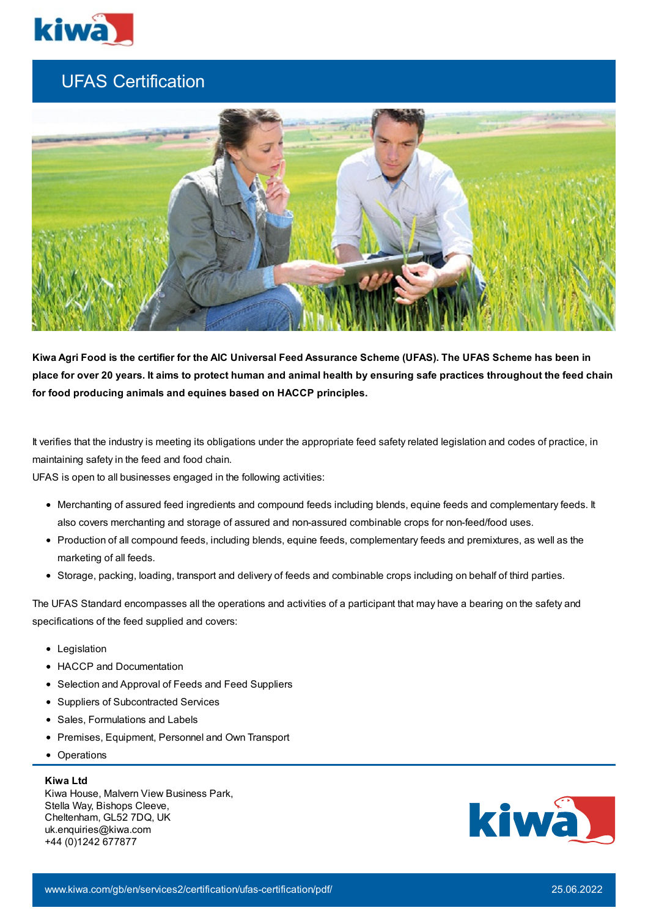

## UFAS Certification



Kiwa Agri Food is the certifier for the AIC Universal Feed Assurance Scheme (UFAS). The UFAS Scheme has been in place for over 20 years. It aims to protect human and animal health by ensuring safe practices throughout the feed chain **for food producing animals and equines based on HACCP principles.**

It verifies that the industry is meeting its obligations under the appropriate feed safety related legislation and codes of practice, in maintaining safety in the feed and food chain.

UFAS is open to all businesses engaged in the following activities:

- Merchanting of assured feed ingredients and compound feeds including blends, equine feeds and complementary feeds. It also covers merchanting and storage of assured and non-assured combinable crops for non-feed/food uses.
- Production of all compound feeds, including blends, equine feeds, complementary feeds and premixtures, as well as the marketing of all feeds.
- Storage, packing, loading, transport and delivery of feeds and combinable crops including on behalf of third parties.

The UFAS Standard encompasses all the operations and activities of a participant that may have a bearing on the safety and specifications of the feed supplied and covers:

- Legislation
- HACCP and Documentation
- Selection and Approval of Feeds and Feed Suppliers
- Suppliers of Subcontracted Services
- Sales, Formulations and Labels
- Premises, Equipment, Personnel and Own Transport
- Operations

## **Kiwa Ltd**

Kiwa House, Malvern View Business Park, Stella Way, Bishops Cleeve, Cheltenham, GL52 7DQ, UK uk.enquiries@kiwa.com +44 (0)1242 677877

 $K_{\rm eff}$  Gastec  $0.242$   $K_{\rm eff}$   $\sim$   $0.242$   $K_{\rm eff}$